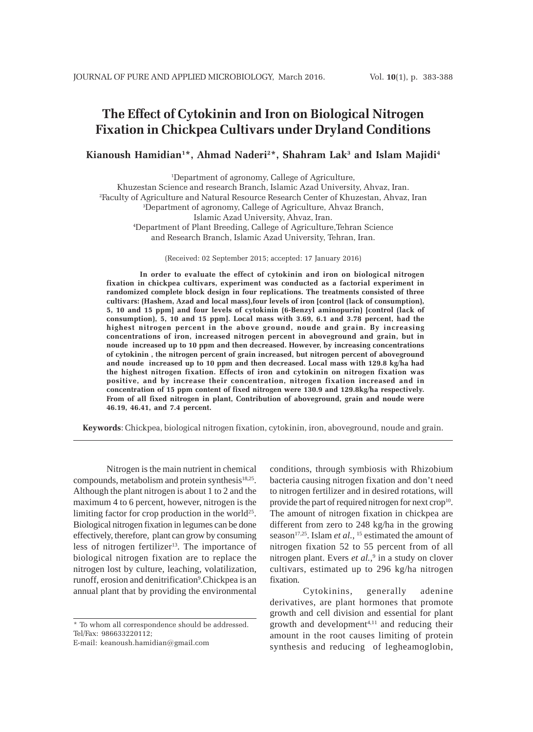# **The Effect of Cytokinin and Iron on Biological Nitrogen Fixation in Chickpea Cultivars under Dryland Conditions**

# **Kianoush Hamidian1 \*, Ahmad Naderi2 \*, Shahram Lak3 and Islam Majidi4**

1 Department of agronomy, Callege of Agriculture, Khuzestan Science and research Branch, Islamic Azad University, Ahvaz, Iran. 2 Faculty of Agriculture and Natural Resource Research Center of Khuzestan, Ahvaz, Iran 3 Department of agronomy, Callege of Agriculture, Ahvaz Branch, Islamic Azad University, Ahvaz, Iran. 4 Department of Plant Breeding, Callege of Agriculture,Tehran Science and Research Branch, Islamic Azad University, Tehran, Iran.

(Received: 02 September 2015; accepted: 17 January 2016)

**In order to evaluate the effect of cytokinin and iron on biological nitrogen fixation in chickpea cultivars, experiment was conducted as a factorial experiment in randomized complete block design in four replications. The treatments consisted of three cultivars: (Hashem, Azad and local mass),four levels of iron [control (lack of consumption), 5, 10 and 15 ppm] and four levels of cytokinin (6-Benzyl aminopurin) [control (lack of consumption), 5, 10 and 15 ppm]. Local mass with 3.69, 6.1 and 3.78 percent, had the highest nitrogen percent in the above ground, noude and grain. By increasing concentrations of iron, increased nitrogen percent in aboveground and grain, but in noude increased up to 10 ppm and then decreased. However, by increasing concentrations of cytokinin , the nitrogen percent of grain increased, but nitrogen percent of aboveground and noude increased up to 10 ppm and then decreased. Local mass with 129.8 kg/ha had the highest nitrogen fixation. Effects of iron and cytokinin on nitrogen fixation was positive, and by increase their concentration, nitrogen fixation increased and in concentration of 15 ppm content of fixed nitrogen were 130.9 and 129.8kg/ha respectively. From of all fixed nitrogen in plant, Contribution of aboveground, grain and noude were 46.19, 46.41, and 7.4 percent.**

**Keywords**: Chickpea, biological nitrogen fixation, cytokinin, iron, aboveground, noude and grain.

Nitrogen is the main nutrient in chemical compounds, metabolism and protein synthesis<sup>18,25</sup>. Although the plant nitrogen is about 1 to 2 and the maximum 4 to 6 percent, however, nitrogen is the limiting factor for crop production in the world<sup>25</sup>. Biological nitrogen fixation in legumes can be done effectively, therefore, plant can grow by consuming less of nitrogen fertilizer<sup>13</sup>. The importance of biological nitrogen fixation are to replace the nitrogen lost by culture, leaching, volatilization, runoff, erosion and denitrification<sup>9</sup>. Chickpea is an annual plant that by providing the environmental

conditions, through symbiosis with Rhizobium bacteria causing nitrogen fixation and don't need to nitrogen fertilizer and in desired rotations, will provide the part of required nitrogen for next crop<sup>10</sup>. The amount of nitrogen fixation in chickpea are different from zero to 248 kg/ha in the growing season<sup>17,25</sup>. Islam *et al.*, <sup>15</sup> estimated the amount of nitrogen fixation 52 to 55 percent from of all nitrogen plant. Evers *et al.,*<sup>9</sup> in a study on clover cultivars, estimated up to 296 kg/ha nitrogen fixation.

Cytokinins, generally adenine derivatives, are plant hormones that promote growth and cell division and essential for plant growth and development4,11 and reducing their amount in the root causes limiting of protein synthesis and reducing of legheamoglobin,

<sup>\*</sup> To whom all correspondence should be addressed. Tel/Fax: 986633220112;

E-mail: keanoush.hamidian@gmail.com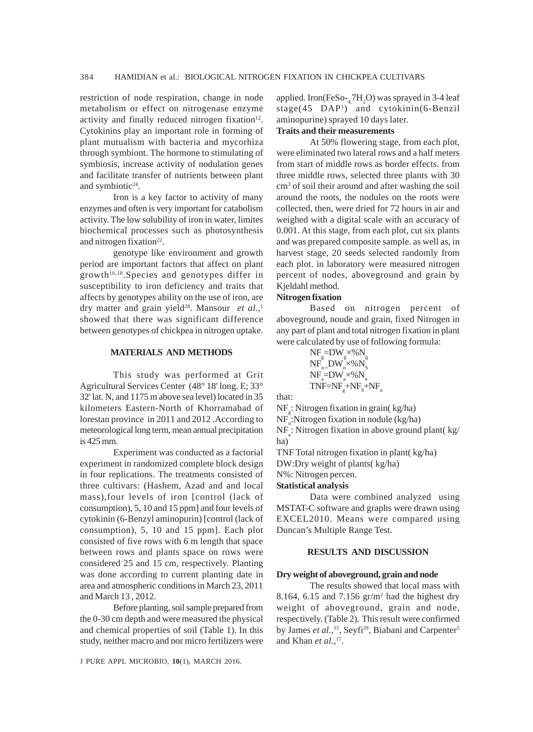restriction of node respiration, change in node metabolism or effect on nitrogenase enzyme activity and finally reduced nitrogen fixation $12$ . Cytokinins play an important role in forming of plant mutualism with bacteria and mycorhiza through symbiont. The hormone to stimulating of symbiosis, increase activity of nodulation genes and facilitate transfer of nutrients between plant and symbiotic $24$ .

Iron is a key factor to activity of many enzymes and often is very important for catabolism activity. The low solubility of iron in water, limites biochemical processes such as photosynthesis and nitrogen fixation<sup>22</sup>.

genotype like environment and growth period are important factors that affect on plant growth16,18.Species and genotypes differ in susceptibility to iron deficiency and traits that affects by genotypes ability on the use of iron, are dry matter and grain yield<sup>28</sup>. Mansour *et al.*,<sup>1</sup> showed that there was significant difference between genotypes of chickpea in nitrogen uptake.

## **MATERIALS AND METHODS**

This study was performed at Grit Agricultural Services Center (48° 18' long. E; 33° 32' lat. N, and 1175 m above sea level) located in 35 kilometers Eastern-North of Khorramabad of lorestan province in 2011 and 2012 .According to meteorological long term, mean annual precipitation is 425 mm.

Experiment was conducted as a factorial experiment in randomized complete block design in four replications. The treatments consisted of three cultivars: (Hashem, Azad and and local mass),four levels of iron [control (lack of consumption), 5, 10 and 15 ppm] and four levels of cytokinin (6-Benzyl aminopurin) [control (lack of consumption), 5, 10 and 15 ppm]. Each plot consisted of five rows with 6 m length that space between rows and plants space on rows were considered 25 and 15 cm, respectively. Planting was done according to current planting date in area and atmospheric conditions in March 23, 2011 and March 13 , 2012.

Before planting, soil sample prepared from the 0-30 cm depth and were measured the physical and chemical properties of soil (Table 1). In this study, neither macro and nor micro fertilizers were

J PURE APPL MICROBIO*,* **10**(1), MARCH 2016.

applied. Iron( $\text{FeSo}_{-4}$ ,  $7\text{H}_2\text{O}$ ) was sprayed in 3-4 leaf stage(45 DAP1 ) and cytokinin(6-Benzil aminopurine) sprayed 10 days later. **Traits and their measurements**

At 50% flowering stage, from each plot, were eliminated two lateral rows and a half meters from start of middle rows as border effects. from three middle rows, selected three plants with 30 cm3 of soil their around and after washing the soil around the roots, the nodules on the roots were collected, then, were dried for 72 hours in air and weighed with a digital scale with an accuracy of 0.001. At this stage, from each plot, cut six plants and was prepared composite sample. as well as, in harvest stage, 20 seeds selected randomly from each plot. in laboratory were measured nitrogen percent of nodes, aboveground and grain by Kjeldahl method.

#### **Nitrogen fixation**

Based on nitrogen percent of aboveground, noude and grain, fixed Nitrogen in any part of plant and total nitrogen fixation in plant were calculated by use of following formula:

NFg =DWg ×%Ng NFn =DWn ×%NS NFa =DWa ×%Nn TNF=NFg +NFS +NFn

that:

NF<sub>g</sub>: Nitrogen fixation in grain( kg/ha)

 $NF_{n}$ :Nitrogen fixation in nodule (kg/ha)

NF<sub>a</sub>: Nitrogen fixation in above ground plant( kg/ ha)

TNF Total nitrogen fixation in plant( kg/ha)

DW:Dry weight of plants( kg/ha)

N%: Nitrogen percen.

**Statistical analysis**

Data were combined analyzed using MSTAT-C software and graphs were drawn using EXCEL2010. Means were compared using Duncan's Multiple Range Test.

### **RESULTS AND DISCUSSION**

# **Dry weight of aboveground, grain and node**

The results showed that local mass with 8.164, 6.15 and  $7.156$   $gr/m<sup>2</sup>$  had the highest dry weight of aboveground, grain and node, respectively. (Table 2). This result were confirmed by James et al.,<sup>15</sup>, Seyfi<sup>28</sup>, Biabani and Carpenter<sup>5</sup> and Khan *et al.,*17.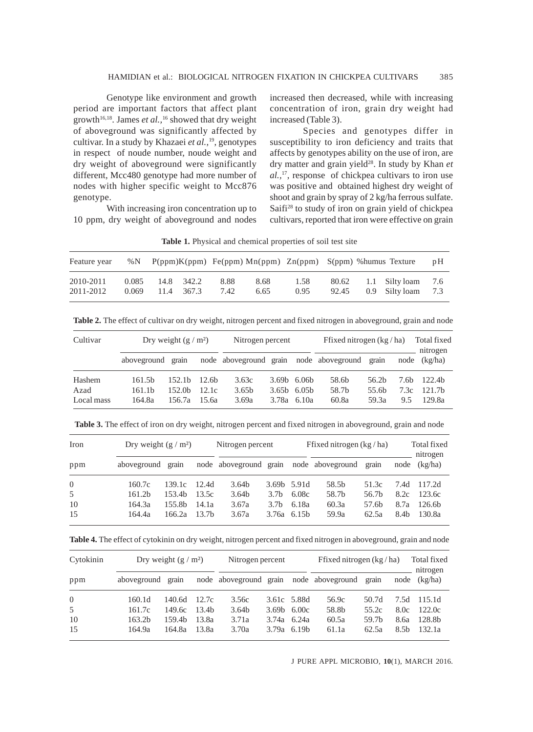Genotype like environment and growth period are important factors that affect plant growth<sup>16,18</sup>. James *et al.*,<sup>16</sup> showed that dry weight of aboveground was significantly affected by cultivar. In a study by Khazaei *et al.,*19, genotypes in respect of noude number, noude weight and dry weight of aboveground were significantly different, Mcc480 genotype had more number of nodes with higher specific weight to Mcc876 genotype.

With increasing iron concentration up to 10 ppm, dry weight of aboveground and nodes increased then decreased, while with increasing concentration of iron, grain dry weight had increased (Table 3).

Species and genotypes differ in susceptibility to iron deficiency and traits that affects by genotypes ability on the use of iron, are dry matter and grain yield28. In study by Khan *et al.,*17, response of chickpea cultivars to iron use was positive and obtained highest dry weight of shoot and grain by spray of 2 kg/ha ferrous sulfate. Saifi<sup>28</sup> to study of iron on grain yield of chickpea cultivars, reported that iron were effective on grain

**Table 1.** Physical and chemical properties of soil test site

| Feature year           |                |            |            |              |              |              |       | %N $P(ppm)K(ppm)$ Fe(ppm) Mn(ppm) Zn(ppm) S(ppm) %humus Texture |                                            |     |
|------------------------|----------------|------------|------------|--------------|--------------|--------------|-------|-----------------------------------------------------------------|--------------------------------------------|-----|
| 2010-2011<br>2011-2012 | 0.085<br>0.069 | 11.4 367.3 | 14.8 342.2 | 8.88<br>7.42 | 8.68<br>6.65 | 1.58<br>0.95 | 92.45 |                                                                 | 80.62 1.1 Silty loam 7.6<br>0.9 Silty loam | 7.3 |

**Table 2.** The effect of cultivar on dry weight, nitrogen percent and fixed nitrogen in aboveground, grain and node

| Cultivar   | Dry weight $(g/m^2)$ |                    |                   | Nitrogen percent       |  |                           | Ffixed nitrogen $(kg/ha)$ |                   |      | Total fixed<br>nitrogen |
|------------|----------------------|--------------------|-------------------|------------------------|--|---------------------------|---------------------------|-------------------|------|-------------------------|
|            | aboveground grain    |                    |                   | node aboveground grain |  |                           | node aboveground          | grain             |      | $node$ $(kg/ha)$        |
| Hashem     | 161.5 <sub>b</sub>   | 152.1 <sub>b</sub> | 12.6 <sub>b</sub> | 3.63c                  |  | $3.69b$ $6.06b$           | 58.6b                     | 56.2 <sub>b</sub> | 7.6b | 122.4 <sub>b</sub>      |
| Azad       | 161.1 <sub>b</sub>   | 152.0 <sub>b</sub> | 12.1c             | 3.65 <sub>b</sub>      |  | $3.65b$ 6.05 <sup>b</sup> | 58.7b                     | 55.6 <sub>b</sub> | 7.3c | 121.7 <sub>b</sub>      |
| Local mass | 164.8a               | 156.7a             | 15.6a             | 3.69a                  |  | $3.78a$ 6.10a             | 60.8a                     | 59.3a             | 9.5  | 129.8a                  |

**Table 3.** The effect of iron on dry weight, nitrogen percent and fixed nitrogen in aboveground, grain and node

| Iron     |                    | Dry weight $(g/m^2)$ |                   |                   | Nitrogen percent |               | Ffixed nitrogen $(kg/ha)$               |                   |                  | Total fixed<br>nitrogen |  |
|----------|--------------------|----------------------|-------------------|-------------------|------------------|---------------|-----------------------------------------|-------------------|------------------|-------------------------|--|
| ppm      | aboveground grain  |                      |                   |                   |                  |               | node aboveground grain node aboveground | grain             |                  | $node$ $(kg/ha)$        |  |
| $\Omega$ | 160.7c             | 139.1c               | 12.4d             | 3.64 <sub>b</sub> |                  | 3.69b 5.91d   | 58.5b                                   | 51.3c             | 7.4d             | 117.2d                  |  |
| 5        | 161.2 <sub>b</sub> | 153.4b               | 13.5c             | 3.64 <sub>b</sub> | 3.7 <sub>b</sub> | 6.08c         | 58.7b                                   | 56.7b             | 8.2c             | 123.6c                  |  |
| 10       | 164.3a             | 155.8b               | 14.1a             | 3.67a             | 3.7 <sub>b</sub> | 6.18a         | 60.3a                                   | 57.6 <sub>b</sub> | 8.7a             | 126.6 <sub>b</sub>      |  |
| 15       | 164.4a             | 166.2a               | 13.7 <sub>b</sub> | 3.67a             |                  | $3.76a$ 6.15b | 59.9a                                   | 62.5a             | 8.4 <sub>b</sub> | 130.8a                  |  |

**Table 4.** The effect of cytokinin on dry weight, nitrogen percent and fixed nitrogen in aboveground, grain and node

| Cytokinin | Dry weight $(g/m^2)$ |        |       | Nitrogen percent  |               |                                     | Ffixed nitrogen $(kg / ha)$                   |       |                  | Total fixed<br>nitrogen |
|-----------|----------------------|--------|-------|-------------------|---------------|-------------------------------------|-----------------------------------------------|-------|------------------|-------------------------|
| ppm       | aboveground grain    |        |       |                   |               |                                     | node aboveground grain node aboveground grain |       |                  | $node$ $(kg/ha)$        |
| $\Omega$  | 160.1d               | 140.6d | 12.7c | 3.56c             |               | 3.61c 5.88d                         | 56.9c                                         | 50.7d | 7.5d             | 115.1d                  |
| 5         | 161.7c               | 149.6с | 13.4b | 3.64 <sub>b</sub> |               | 3.69 <sub>b</sub> 6.00 <sub>c</sub> | 58.8b                                         | 55.2c | 8.0c             | 122.0c                  |
| 10        | 163.2 <sub>b</sub>   | 159.4h | 13.8a | 3.71a             | $3.74a$ 6.24a |                                     | 60.5a                                         | 59.7b | 8.ба             | 128.8b                  |
| 15        | 164.9a               | 164.8a | 13.8a | 3.70a             |               | $3.79a$ 6.19b                       | 61.1a                                         | 62.5a | 8.5 <sub>b</sub> | 132.1a                  |

J PURE APPL MICROBIO*,* **10**(1), MARCH 2016.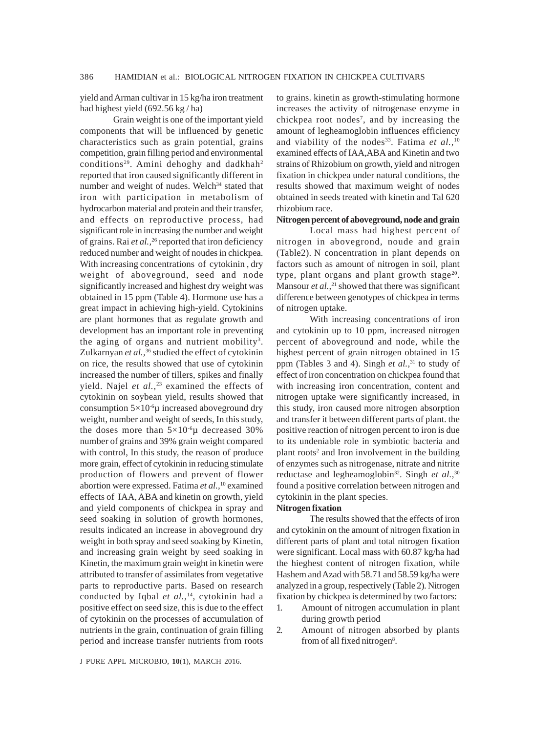yield and Arman cultivar in 15 kg/ha iron treatment had highest yield (692.56 kg / ha)

Grain weight is one of the important yield components that will be influenced by genetic characteristics such as grain potential, grains competition, grain filling period and environmental conditions<sup>29</sup>. Amini dehoghy and dadkhah<sup>2</sup> reported that iron caused significantly different in number and weight of nudes. Welch<sup>34</sup> stated that iron with participation in metabolism of hydrocarbon material and protein and their transfer, and effects on reproductive process, had significant role in increasing the number and weight of grains. Rai *et al.*,<sup>26</sup> reported that iron deficiency reduced number and weight of noudes in chickpea. With increasing concentrations of cytokinin , dry weight of aboveground, seed and node significantly increased and highest dry weight was obtained in 15 ppm (Table 4). Hormone use has a great impact in achieving high-yield. Cytokinins are plant hormones that as regulate growth and development has an important role in preventing the aging of organs and nutrient mobility<sup>3</sup>. Zulkarnyan *et al.,*36 studied the effect of cytokinin on rice, the results showed that use of cytokinin increased the number of tillers, spikes and finally yield. Najel et al.,<sup>23</sup> examined the effects of cytokinin on soybean yield, results showed that consumption  $5\times10^{-6}\mu$  increased aboveground dry weight, number and weight of seeds, In this study, the doses more than  $5 \times 10^{-6} \mu$  decreased 30% number of grains and 39% grain weight compared with control, In this study, the reason of produce more grain, effect of cytokinin in reducing stimulate production of flowers and prevent of flower abortion were expressed. Fatima *et al.,*10 examined effects of IAA, ABA and kinetin on growth, yield and yield components of chickpea in spray and seed soaking in solution of growth hormones, results indicated an increase in aboveground dry weight in both spray and seed soaking by Kinetin, and increasing grain weight by seed soaking in Kinetin, the maximum grain weight in kinetin were attributed to transfer of assimilates from vegetative parts to reproductive parts. Based on research conducted by Iqbal *et al.,*14, cytokinin had a positive effect on seed size, this is due to the effect of cytokinin on the processes of accumulation of nutrients in the grain, continuation of grain filling period and increase transfer nutrients from roots

to grains. kinetin as growth-stimulating hormone increases the activity of nitrogenase enzyme in chickpea root nodes<sup>7</sup>, and by increasing the amount of legheamoglobin influences efficiency and viability of the nodes<sup>33</sup>. Fatima *et al.*,<sup>10</sup> examined effects of IAA,ABA and Kinetin and two strains of Rhizobium on growth, yield and nitrogen fixation in chickpea under natural conditions, the results showed that maximum weight of nodes obtained in seeds treated with kinetin and Tal 620 rhizobium race.

# **Nitrogen percent of aboveground, node and grain**

Local mass had highest percent of nitrogen in abovegrond, noude and grain (Table2). N concentration in plant depends on factors such as amount of nitrogen in soil, plant type, plant organs and plant growth stage $20$ . Mansour *et al.*,<sup>21</sup> showed that there was significant difference between genotypes of chickpea in terms of nitrogen uptake.

With increasing concentrations of iron and cytokinin up to 10 ppm, increased nitrogen percent of aboveground and node, while the highest percent of grain nitrogen obtained in 15 ppm (Tables 3 and 4). Singh *et al.*,<sup>31</sup> to study of effect of iron concentration on chickpea found that with increasing iron concentration, content and nitrogen uptake were significantly increased, in this study, iron caused more nitrogen absorption and transfer it between different parts of plant. the positive reaction of nitrogen percent to iron is due to its undeniable role in symbiotic bacteria and plant roots<sup>2</sup> and Iron involvement in the building of enzymes such as nitrogenase, nitrate and nitrite reductase and legheamoglobin<sup>32</sup>. Singh *et al.*,<sup>30</sup> found a positive correlation between nitrogen and cytokinin in the plant species.

#### **Nitrogen fixation**

The results showed that the effects of iron and cytokinin on the amount of nitrogen fixation in different parts of plant and total nitrogen fixation were significant. Local mass with 60.87 kg/ha had the hieghest content of nitrogen fixation, while Hashem and Azad with 58.71 and 58.59 kg/ha were analyzed in a group, respectively (Table 2). Nitrogen fixation by chickpea is determined by two factors:

- 1. Amount of nitrogen accumulation in plant during growth period
- 2. Amount of nitrogen absorbed by plants from of all fixed nitrogen<sup>8</sup>.

J PURE APPL MICROBIO*,* **10**(1), MARCH 2016.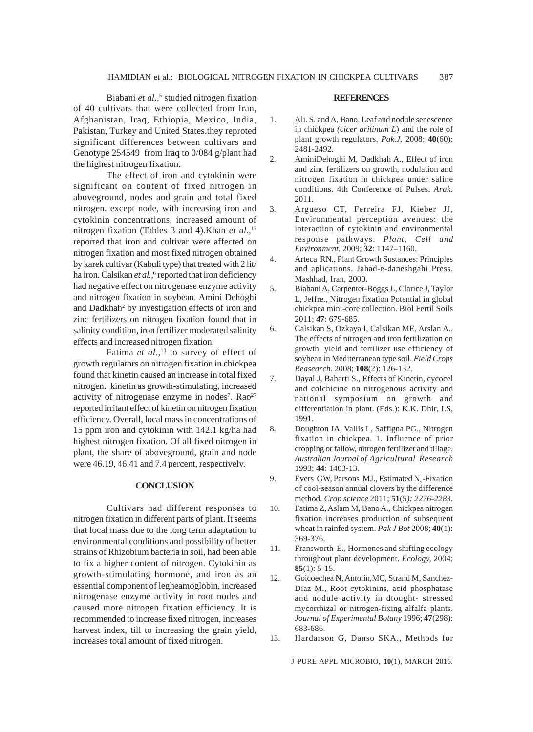Biabani et al.,<sup>5</sup> studied nitrogen fixation of 40 cultivars that were collected from Iran, Afghanistan, Iraq, Ethiopia, Mexico, India, Pakistan, Turkey and United States.they reproted significant differences between cultivars and Genotype 254549 from Iraq to 0/084 g/plant had the highest nitrogen fixation.

The effect of iron and cytokinin were significant on content of fixed nitrogen in aboveground, nodes and grain and total fixed nitrogen. except node, with increasing iron and cytokinin concentrations, increased amount of nitrogen fixation (Tables 3 and 4).Khan *et al.,*<sup>17</sup> reported that iron and cultivar were affected on nitrogen fixation and most fixed nitrogen obtained by karek cultivar (Kabuli type) that treated with 2 lit/ ha iron. Calsikan et al.,<sup>6</sup> reported that iron deficiency had negative effect on nitrogenase enzyme activity and nitrogen fixation in soybean. Amini Dehoghi and Dadkhah<sup>2</sup> by investigation effects of iron and zinc fertilizers on nitrogen fixation found that in salinity condition, iron fertilizer moderated salinity effects and increased nitrogen fixation.

Fatima *et al.*,<sup>10</sup> to survey of effect of growth regulators on nitrogen fixation in chickpea found that kinetin caused an increase in total fixed nitrogen. kinetin as growth-stimulating, increased activity of nitrogenase enzyme in nodes<sup>7</sup>. Rao<sup>27</sup> reported irritant effect of kinetin on nitrogen fixation efficiency. Overall, local mass in concentrations of 15 ppm iron and cytokinin with 142.1 kg/ha had highest nitrogen fixation. Of all fixed nitrogen in plant, the share of aboveground, grain and node were 46.19, 46.41 and 7.4 percent, respectively.

### **CONCLUSION**

Cultivars had different responses to nitrogen fixation in different parts of plant. It seems that local mass due to the long term adaptation to environmental conditions and possibility of better strains of Rhizobium bacteria in soil, had been able to fix a higher content of nitrogen. Cytokinin as growth-stimulating hormone, and iron as an essential component of legheamoglobin, increased nitrogenase enzyme activity in root nodes and caused more nitrogen fixation efficiency. It is recommended to increase fixed nitrogen, increases harvest index, till to increasing the grain yield, increases total amount of fixed nitrogen.

#### **REFERENCES**

- 1. Ali. S. and A, Bano. Leaf and nodule senescence in chickpea *(cicer aritinum L*) and the role of plant growth regulators. *Pak.J.* 2008; **40**(60): 2481-2492.
- 2. AminiDehoghi M, Dadkhah A., Effect of iron and zinc fertilizers on growth, nodulation and nitrogen fixation in chickpea under saline conditions. 4th Conference of Pulses. *Arak.* 2011.
- 3. Argueso CT, Ferreira FJ, Kieber JJ, Environmental perception avenues: the interaction of cytokinin and environmental response pathways. *Plant, Cell and Environment*. 2009; **32**: 1147–1160.
- 4. Arteca RN., Plant Growth Sustances: Principles and aplications. Jahad-e-daneshgahi Press. Mashhad, Iran, 2000.
- 5. Biabani A, Carpenter-Boggs L, Clarice J, Taylor L, Jeffre., Nitrogen fixation Potential in global chickpea mini-core collection. Biol Fertil Soils 2011; **47**: 679-685.
- 6. Calsikan S, Ozkaya I, Calsikan ME, Arslan A., The effects of nitrogen and iron fertilization on growth, yield and fertilizer use efficiency of soybean in Mediterranean type soil. *Field Crops Reasearch*. 2008; **108**(2): 126-132.
- 7. Dayal J, Baharti S., Effects of Kinetin, cycocel and colchicine on nitrogenous activity and national symposium on growth and differentiation in plant. (Eds.): K.K. Dhir, I.S, 1991.
- 8. Doughton JA, Vallis L, Saffigna PG., Nitrogen fixation in chickpea. 1. Influence of prior cropping or fallow, nitrogen fertilizer and tillage. *Australian Journal of Agricultural Research* 1993; **44**: 1403-13.
- 9. Evers GW, Parsons MJ., Estimated  $N_2$ -Fixation of cool-season annual clovers by the difference method. *Crop science* 2011; **51**(5*): 2276-2283*.
- 10. Fatima Z, Aslam M, Bano A., Chickpea nitrogen fixation increases production of subsequent wheat in rainfed system. *Pak J Bot* 2008; **40**(1): 369-376.
- 11. Fransworth E., Hormones and shifting ecology throughout plant development. *Ecology,* 2004; **85**(1): 5-15.
- 12. Goicoechea N, Antolin,MC, Strand M, Sanchez-Diaz M., Root cytokinins, acid phosphatase and nodule activity in dtought- stressed mycorrhizal or nitrogen-fixing alfalfa plants. *Journal of Experimental Botany* 1996; **47**(298): 683-686.
- 13. Hardarson G, Danso SKA., Methods for

J PURE APPL MICROBIO*,* **10**(1), MARCH 2016.